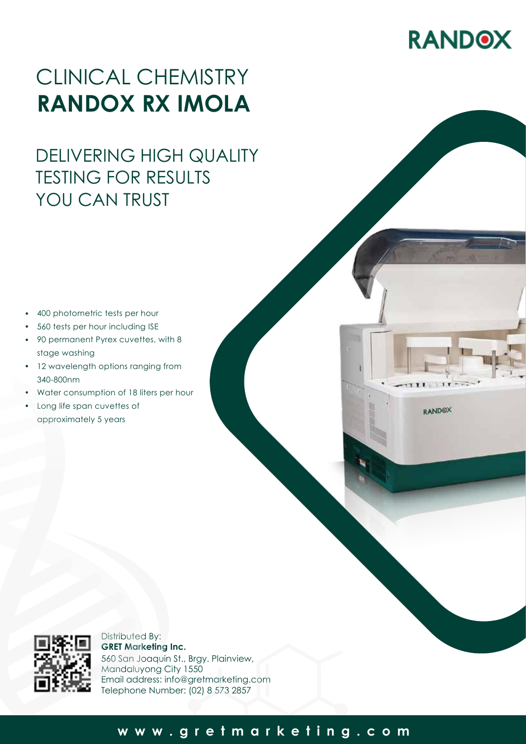# **RANDOX**

## CLINICAL CHEMISTRY **RANDOX RX IMOLA**

## DELIVERING HIGH QUALITY TESTING FOR RESULTS YOU CAN TRUST

- 400 photometric tests per hour •
- 560 tests per hour including ISE •
- 90 permanent Pyrex cuvettes, with 8 stage washing •
- 12 wavelength options ranging from 340-800nm
- Water consumption of 18 liters per hour
- Long life span cuvettes of approximately 5 years

**RANDOX** 



Distributed By: **GRET Marketing Inc.** 560 San Joaquin St., Brgy. Plainview, Mandaluyong City 1550 Email address: info@gretmarketing.com Telephone Number: (02) 8 573 2857

### **www.gretmarketing.com**